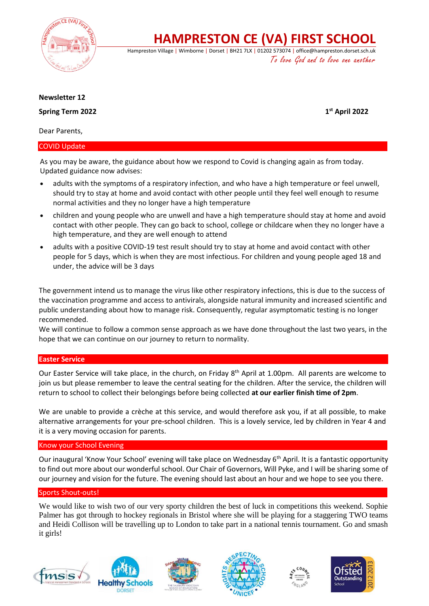

**HAMPRESTON CE (VA) FIRST SCHOOL**

Hampreston Village | Wimborne | Dorset | BH21 7LX | 01202 573074 | office@hampreston.dorset.sch.uk To love God and to love one another

## **Newsletter 12**

**Spring Term 2022** 

**st April 2022**

Dear Parents,

# COVID Update

As you may be aware, the guidance about how we respond to Covid is changing again as from today. Updated guidance now advises:

- adults with the symptoms of a respiratory infection, and who have a high temperature or feel unwell, should try to stay at home and avoid contact with other people until they feel well enough to resume normal activities and they no longer have a high temperature
- children and young people who are unwell and have a high temperature should stay at home and avoid contact with other people. They can go back to school, college or childcare when they no longer have a high temperature, and they are well enough to attend
- adults with a positive COVID-19 test result should try to stay at home and avoid contact with other people for 5 days, which is when they are most infectious. For children and young people aged 18 and under, the advice will be 3 days

The government intend us to manage the virus like other respiratory infections, this is due to the success of the vaccination programme and access to antivirals, alongside natural immunity and increased scientific and public understanding about how to manage risk. Consequently, regular asymptomatic testing is no longer recommended.

We will continue to follow a common sense approach as we have done throughout the last two years, in the hope that we can continue on our journey to return to normality.

# **Easter Service**

Our Easter Service will take place, in the church, on Friday  $8<sup>th</sup>$  April at 1.00pm. All parents are welcome to join us but please remember to leave the central seating for the children. After the service, the children will return to school to collect their belongings before being collected **at our earlier finish time of 2pm**.

We are unable to provide a crèche at this service, and would therefore ask you, if at all possible, to make alternative arrangements for your pre-school children. This is a lovely service, led by children in Year 4 and it is a very moving occasion for parents.

## Know your School Evening

Our inaugural 'Know Your School' evening will take place on Wednesday 6<sup>th</sup> April. It is a fantastic opportunity to find out more about our wonderful school. Our Chair of Governors, Will Pyke, and I will be sharing some of our journey and vision for the future. The evening should last about an hour and we hope to see you there.

## Sports Shout-outs!

We would like to wish two of our very sporty children the best of luck in competitions this weekend. Sophie Palmer has got through to hockey regionals in Bristol where she will be playing for a staggering TWO teams and Heidi Collison will be travelling up to London to take part in a national tennis tournament. Go and smash it girls!









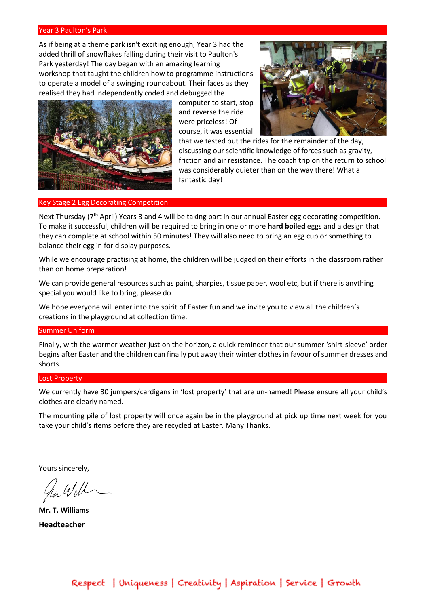### Year 3 Paulton's Park

As if being at a theme park isn't exciting enough, Year 3 had the added thrill of snowflakes falling during their visit to Paulton's Park yesterday! The day began with an amazing learning workshop that taught the children how to programme instructions to operate a model of a swinging roundabout. Their faces as they realised they had independently coded and debugged the



computer to start, stop and reverse the ride were priceless! Of course, it was essential



that we tested out the rides for the remainder of the day, discussing our scientific knowledge of forces such as gravity, friction and air resistance. The coach trip on the return to school was considerably quieter than on the way there! What a fantastic day!

#### Key Stage 2 Egg Decorating Competition

Next Thursday (7<sup>th</sup> April) Years 3 and 4 will be taking part in our annual Easter egg decorating competition. To make it successful, children will be required to bring in one or more **hard boiled** eggs and a design that they can complete at school within 50 minutes! They will also need to bring an egg cup or something to balance their egg in for display purposes.

While we encourage practising at home, the children will be judged on their efforts in the classroom rather than on home preparation!

We can provide general resources such as paint, sharpies, tissue paper, wool etc, but if there is anything special you would like to bring, please do.

We hope everyone will enter into the spirit of Easter fun and we invite you to view all the children's creations in the playground at collection time.

#### Summer Uniform

Finally, with the warmer weather just on the horizon, a quick reminder that our summer 'shirt-sleeve' order begins after Easter and the children can finally put away their winter clothes in favour of summer dresses and shorts.

#### Lost Property

We currently have 30 jumpers/cardigans in 'lost property' that are un-named! Please ensure all your child's clothes are clearly named.

The mounting pile of lost property will once again be in the playground at pick up time next week for you take your child's items before they are recycled at Easter. Many Thanks.

Yours sincerely,

**Mr. T. Williams Headteacher**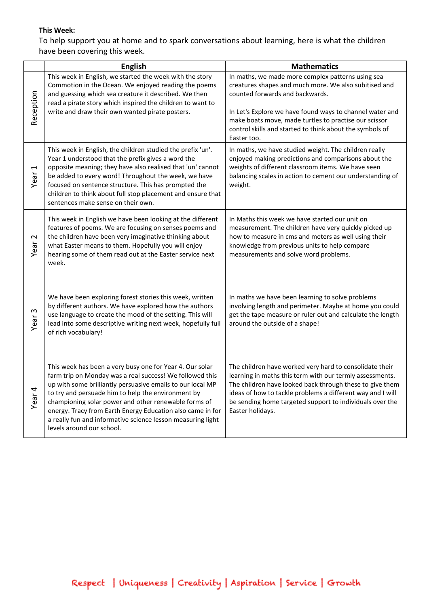# **This Week:**

To help support you at home and to spark conversations about learning, here is what the children have been covering this week.

|                                  | <b>English</b>                                                                                                                                                                                                                                                                                                                                                                                                                                             | <b>Mathematics</b>                                                                                                                                                                                                                                                                                                                            |
|----------------------------------|------------------------------------------------------------------------------------------------------------------------------------------------------------------------------------------------------------------------------------------------------------------------------------------------------------------------------------------------------------------------------------------------------------------------------------------------------------|-----------------------------------------------------------------------------------------------------------------------------------------------------------------------------------------------------------------------------------------------------------------------------------------------------------------------------------------------|
| Reception                        | This week in English, we started the week with the story<br>Commotion in the Ocean. We enjoyed reading the poems<br>and guessing which sea creature it described. We then<br>read a pirate story which inspired the children to want to<br>write and draw their own wanted pirate posters.                                                                                                                                                                 | In maths, we made more complex patterns using sea<br>creatures shapes and much more. We also subitised and<br>counted forwards and backwards.<br>In Let's Explore we have found ways to channel water and<br>make boats move, made turtles to practise our scissor<br>control skills and started to think about the symbols of<br>Easter too. |
| $\overline{\phantom{0}}$<br>Year | This week in English, the children studied the prefix 'un'.<br>Year 1 understood that the prefix gives a word the<br>opposite meaning; they have also realised that 'un' cannot<br>be added to every word! Throughout the week, we have<br>focused on sentence structure. This has prompted the<br>children to think about full stop placement and ensure that<br>sentences make sense on their own.                                                       | In maths, we have studied weight. The children really<br>enjoyed making predictions and comparisons about the<br>weights of different classroom items. We have seen<br>balancing scales in action to cement our understanding of<br>weight.                                                                                                   |
| $\sim$<br>Year                   | This week in English we have been looking at the different<br>features of poems. We are focusing on senses poems and<br>the children have been very imaginative thinking about<br>what Easter means to them. Hopefully you will enjoy<br>hearing some of them read out at the Easter service next<br>week.                                                                                                                                                 | In Maths this week we have started our unit on<br>measurement. The children have very quickly picked up<br>how to measure in cms and meters as well using their<br>knowledge from previous units to help compare<br>measurements and solve word problems.                                                                                     |
| S<br>Year                        | We have been exploring forest stories this week, written<br>by different authors. We have explored how the authors<br>use language to create the mood of the setting. This will<br>lead into some descriptive writing next week, hopefully full<br>of rich vocabulary!                                                                                                                                                                                     | In maths we have been learning to solve problems<br>involving length and perimeter. Maybe at home you could<br>get the tape measure or ruler out and calculate the length<br>around the outside of a shape!                                                                                                                                   |
| Year <sub>4</sub>                | This week has been a very busy one for Year 4. Our solar<br>farm trip on Monday was a real success! We followed this<br>up with some brilliantly persuasive emails to our local MP<br>to try and persuade him to help the environment by<br>championing solar power and other renewable forms of<br>energy. Tracy from Earth Energy Education also came in for<br>a really fun and informative science lesson measuring light<br>levels around our school. | The children have worked very hard to consolidate their<br>learning in maths this term with our termly assessments.<br>The children have looked back through these to give them<br>ideas of how to tackle problems a different way and I will<br>be sending home targeted support to individuals over the<br>Easter holidays.                 |